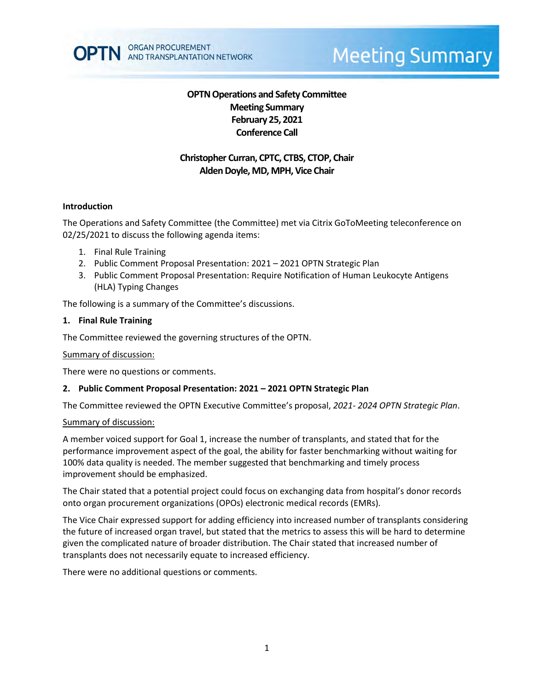

# **Meeting Summary**

# **OPTN Operations and Safety Committee Meeting Summary February 25, 2021 Conference Call**

# **Christopher Curran, CPTC, CTBS, CTOP, Chair Alden Doyle, MD, MPH, Vice Chair**

#### **Introduction**

The Operations and Safety Committee (the Committee) met via Citrix GoToMeeting teleconference on 02/25/2021 to discuss the following agenda items:

- 1. Final Rule Training
- 2. Public Comment Proposal Presentation: 2021 2021 OPTN Strategic Plan
- 3. Public Comment Proposal Presentation: Require Notification of Human Leukocyte Antigens (HLA) Typing Changes

The following is a summary of the Committee's discussions.

#### **1. Final Rule Training**

The Committee reviewed the governing structures of the OPTN.

#### Summary of discussion:

There were no questions or comments.

### **2. Public Comment Proposal Presentation: 2021 – 2021 OPTN Strategic Plan**

The Committee reviewed the OPTN Executive Committee's proposal, *2021- 2024 OPTN Strategic Plan*.

#### Summary of discussion:

A member voiced support for Goal 1, increase the number of transplants, and stated that for the performance improvement aspect of the goal, the ability for faster benchmarking without waiting for 100% data quality is needed. The member suggested that benchmarking and timely process improvement should be emphasized.

The Chair stated that a potential project could focus on exchanging data from hospital's donor records onto organ procurement organizations (OPOs) electronic medical records (EMRs).

The Vice Chair expressed support for adding efficiency into increased number of transplants considering the future of increased organ travel, but stated that the metrics to assess this will be hard to determine given the complicated nature of broader distribution. The Chair stated that increased number of transplants does not necessarily equate to increased efficiency.

There were no additional questions or comments.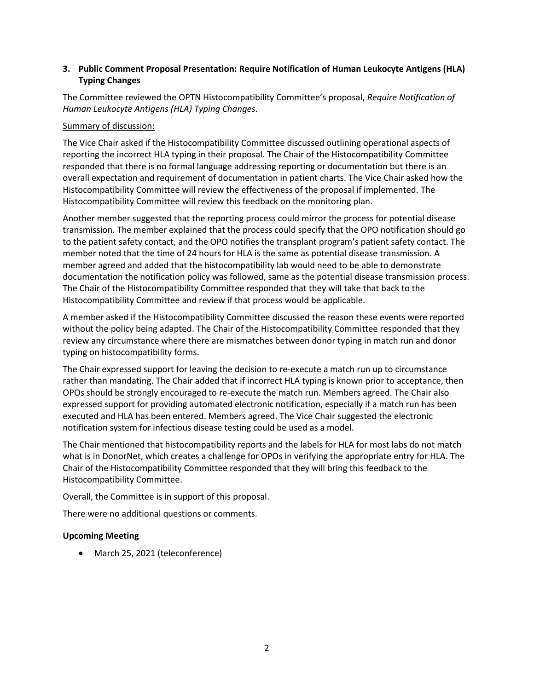## **3. Public Comment Proposal Presentation: Require Notification of Human Leukocyte Antigens (HLA) Typing Changes**

The Committee reviewed the OPTN Histocompatibility Committee's proposal, *Require Notification of Human Leukocyte Antigens (HLA) Typing Changes*.

## Summary of discussion:

The Vice Chair asked if the Histocompatibility Committee discussed outlining operational aspects of reporting the incorrect HLA typing in their proposal. The Chair of the Histocompatibility Committee responded that there is no formal language addressing reporting or documentation but there is an overall expectation and requirement of documentation in patient charts. The Vice Chair asked how the Histocompatibility Committee will review the effectiveness of the proposal if implemented. The Histocompatibility Committee will review this feedback on the monitoring plan.

Another member suggested that the reporting process could mirror the process for potential disease transmission. The member explained that the process could specify that the OPO notification should go to the patient safety contact, and the OPO notifies the transplant program's patient safety contact. The member noted that the time of 24 hours for HLA is the same as potential disease transmission. A member agreed and added that the histocompatibility lab would need to be able to demonstrate documentation the notification policy was followed, same as the potential disease transmission process. The Chair of the Histocompatibility Committee responded that they will take that back to the Histocompatibility Committee and review if that process would be applicable.

A member asked if the Histocompatibility Committee discussed the reason these events were reported without the policy being adapted. The Chair of the Histocompatibility Committee responded that they review any circumstance where there are mismatches between donor typing in match run and donor typing on histocompatibility forms.

The Chair expressed support for leaving the decision to re-execute a match run up to circumstance rather than mandating. The Chair added that if incorrect HLA typing is known prior to acceptance, then OPOs should be strongly encouraged to re-execute the match run. Members agreed. The Chair also expressed support for providing automated electronic notification, especially if a match run has been executed and HLA has been entered. Members agreed. The Vice Chair suggested the electronic notification system for infectious disease testing could be used as a model.

The Chair mentioned that histocompatibility reports and the labels for HLA for most labs do not match what is in DonorNet, which creates a challenge for OPOs in verifying the appropriate entry for HLA. The Chair of the Histocompatibility Committee responded that they will bring this feedback to the Histocompatibility Committee.

Overall, the Committee is in support of this proposal.

There were no additional questions or comments.

## **Upcoming Meeting**

March 25, 2021 (teleconference)